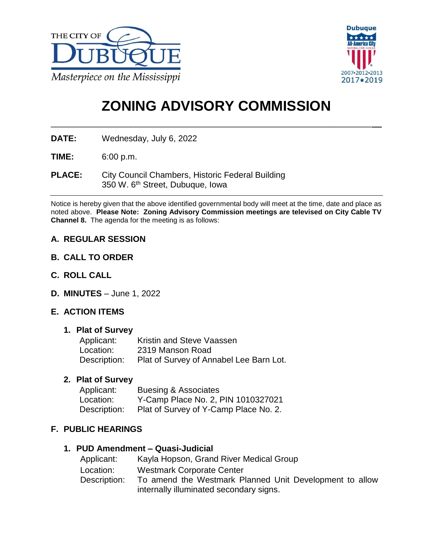



# **ZONING ADVISORY COMMISSION**

\_\_\_\_\_\_\_\_\_\_\_\_\_\_\_\_\_\_\_\_\_\_\_\_\_\_\_\_\_\_\_\_\_\_\_\_\_\_\_\_\_\_\_\_\_\_\_\_\_\_\_\_\_\_\_\_\_\_\_\_\_\_\_\_\_\_\_\_

**DATE:** Wednesday, July 6, 2022

**TIME:** 6:00 p.m.

**PLACE:** City Council Chambers, Historic Federal Building 350 W. 6th Street, Dubuque, Iowa

Notice is hereby given that the above identified governmental body will meet at the time, date and place as noted above. **Please Note: Zoning Advisory Commission meetings are televised on City Cable TV Channel 8.** The agenda for the meeting is as follows:

## **A. REGULAR SESSION**

- **B. CALL TO ORDER**
- **C. ROLL CALL**
- **D. MINUTES** June 1, 2022

## **E. ACTION ITEMS**

#### **1. Plat of Survey**

| Applicant:   | Kristin and Steve Vaassen               |
|--------------|-----------------------------------------|
| Location:    | 2319 Manson Road                        |
| Description: | Plat of Survey of Annabel Lee Barn Lot. |

#### **2. Plat of Survey**

| Applicant:   | <b>Buesing &amp; Associates</b>       |
|--------------|---------------------------------------|
| Location:    | Y-Camp Place No. 2, PIN 1010327021    |
| Description: | Plat of Survey of Y-Camp Place No. 2. |

## **F. PUBLIC HEARINGS**

#### **1. PUD Amendment – Quasi-Judicial**

| Applicant:   | Kayla Hopson, Grand River Medical Group                 |
|--------------|---------------------------------------------------------|
| Location:    | <b>Westmark Corporate Center</b>                        |
| Description: | To amend the Westmark Planned Unit Development to allow |
|              | internally illuminated secondary signs.                 |